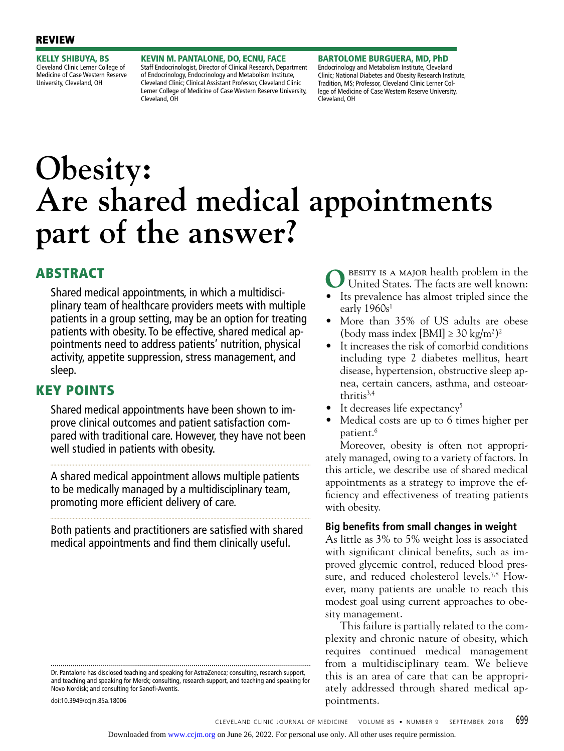KELLY SHIBUYA, BS Cleveland Clinic Lerner College of Medicine of Case Western Reserve University, Cleveland, OH

KEVIN M. PANTALONE, DO, ECNU, FACE Staff Endocrinologist, Director of Clinical Research, Department of Endocrinology, Endocrinology and Metabolism Institute, Cleveland Clinic; Clinical Assistant Professor, Cleveland Clinic Lerner College of Medicine of Case Western Reserve University, Cleveland, OH

BARTOLOME BURGUERA, MD, PhD Endocrinology and Metabolism Institute, Cleveland Clinic; National Diabetes and Obesity Research Institute, Tradition, MS; Professor, Cleveland Clinic Lerner College of Medicine of Case Western Reserve University, Cleveland, OH

# **Obesity: Are shared medical appointments part of the answer?**

# ABSTRACT

Shared medical appointments, in which a multidisciplinary team of healthcare providers meets with multiple patients in a group setting, may be an option for treating patients with obesity. To be effective, shared medical appointments need to address patients' nutrition, physical activity, appetite suppression, stress management, and sleep.

# KEY POINTS

Shared medical appointments have been shown to improve clinical outcomes and patient satisfaction compared with traditional care. However, they have not been well studied in patients with obesity.

A shared medical appointment allows multiple patients to be medically managed by a multidisciplinary team, promoting more efficient delivery of care.

Both patients and practitioners are satisfied with shared medical appointments and find them clinically useful.

Dr. Pantalone has disclosed teaching and speaking for AstraZeneca; consulting, research support, and teaching and speaking for Merck; consulting, research support, and teaching and speaking for Novo Nordisk; and consulting for Sanofi-Aventis.

doi:10.3949/ccjm.85a.18006

BESITY IS A MAJOR health problem in the United States. The facts are well known:

- Its prevalence has almost tripled since the early  $1960s<sup>1</sup>$
- More than 35% of US adults are obese (body mass index [BMI] ≥ 30 kg/m<sup>2</sup>)<sup>2</sup>
- It increases the risk of comorbid conditions including type 2 diabetes mellitus, heart disease, hypertension, obstructive sleep apnea, certain cancers, asthma, and osteoar $th$ ritis $3,4$
- It decreases life expectancy<sup>5</sup>
- Medical costs are up to 6 times higher per patient.6

Moreover, obesity is often not appropriately managed, owing to a variety of factors. In this article, we describe use of shared medical appointments as a strategy to improve the efficiency and effectiveness of treating patients with obesity.

## **Big benefits from small changes in weight**

As little as 3% to 5% weight loss is associated with significant clinical benefits, such as improved glycemic control, reduced blood pressure, and reduced cholesterol levels.<sup>7,8</sup> However, many patients are unable to reach this modest goal using current approaches to obesity management.

This failure is partially related to the complexity and chronic nature of obesity, which requires continued medical management from a multidisciplinary team. We believe this is an area of care that can be appropriately addressed through shared medical appointments.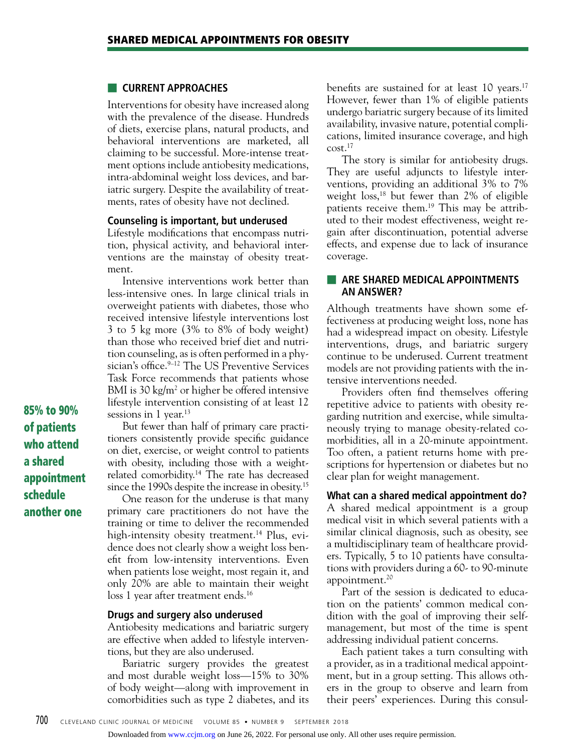#### ■ **CURRENT APPROACHES**

Interventions for obesity have increased along with the prevalence of the disease. Hundreds of diets, exercise plans, natural products, and behavioral interventions are marketed, all claiming to be successful. More-intense treatment options include antiobesity medications, intra-abdominal weight loss devices, and bariatric surgery. Despite the availability of treatments, rates of obesity have not declined.

#### **Counseling is important, but underused**

Lifestyle modifications that encompass nutrition, physical activity, and behavioral interventions are the mainstay of obesity treatment.

Intensive interventions work better than less-intensive ones. In large clinical trials in overweight patients with diabetes, those who received intensive lifestyle interventions lost 3 to 5 kg more (3% to 8% of body weight) than those who received brief diet and nutrition counseling, as is often performed in a physician's office.<sup>9-12</sup> The US Preventive Services Task Force recommends that patients whose BMI is 30  $\text{kg/m}^2$  or higher be offered intensive lifestyle intervention consisting of at least 12 sessions in 1 year.<sup>13</sup>

But fewer than half of primary care practitioners consistently provide specific guidance on diet, exercise, or weight control to patients with obesity, including those with a weightrelated comorbidity.14 The rate has decreased since the 1990s despite the increase in obesity.<sup>15</sup>

One reason for the underuse is that many primary care practitioners do not have the training or time to deliver the recommended high-intensity obesity treatment.<sup>14</sup> Plus, evidence does not clearly show a weight loss benefit from low-intensity interventions. Even when patients lose weight, most regain it, and only 20% are able to maintain their weight loss 1 year after treatment ends.<sup>16</sup>

#### **Drugs and surgery also underused**

Antiobesity medications and bariatric surgery are effective when added to lifestyle interventions, but they are also underused.

Bariatric surgery provides the greatest and most durable weight loss—15% to 30% of body weight—along with improvement in comorbidities such as type 2 diabetes, and its benefits are sustained for at least 10 years.<sup>17</sup> However, fewer than 1% of eligible patients undergo bariatric surgery because of its limited availability, invasive nature, potential complications, limited insurance coverage, and high  $\text{cost}$ <sup>17</sup>

The story is similar for antiobesity drugs. They are useful adjuncts to lifestyle interventions, providing an additional 3% to 7% weight  $loss<sub>18</sub>$  but fewer than 2% of eligible patients receive them.19 This may be attributed to their modest effectiveness, weight regain after discontinuation, potential adverse effects, and expense due to lack of insurance coverage.

## **EXAMPLE ARE SHARED MEDICAL APPOINTMENTS AN ANSWER?**

Although treatments have shown some effectiveness at producing weight loss, none has had a widespread impact on obesity. Lifestyle interventions, drugs, and bariatric surgery continue to be underused. Current treatment models are not providing patients with the intensive interventions needed.

Providers often find themselves offering repetitive advice to patients with obesity regarding nutrition and exercise, while simultaneously trying to manage obesity-related comorbidities, all in a 20-minute appointment. Too often, a patient returns home with prescriptions for hypertension or diabetes but no clear plan for weight management.

**What can a shared medical appointment do?** A shared medical appointment is a group medical visit in which several patients with a similar clinical diagnosis, such as obesity, see a multidisciplinary team of healthcare providers. Typically, 5 to 10 patients have consultations with providers during a 60- to 90-minute appointment.<sup>20</sup>

Part of the session is dedicated to education on the patients' common medical condition with the goal of improving their selfmanagement, but most of the time is spent addressing individual patient concerns.

Each patient takes a turn consulting with a provider, as in a traditional medical appointment, but in a group setting. This allows others in the group to observe and learn from their peers' experiences. During this consul-

85% to 90% of patients who attend a shared appointment schedule another one

Downloaded from [www.ccjm.org](http://www.ccjm.org/) on June 26, 2022. For personal use only. All other uses require permission.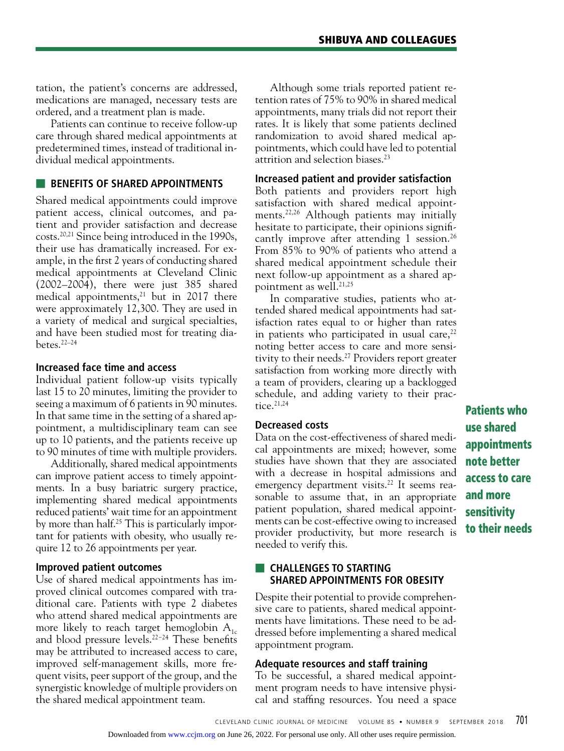tation, the patient's concerns are addressed, medications are managed, necessary tests are ordered, and a treatment plan is made.

Patients can continue to receive follow-up care through shared medical appointments at predetermined times, instead of traditional individual medical appointments.

## **EXECUTE BENEFITS OF SHARED APPOINTMENTS**

Shared medical appointments could improve patient access, clinical outcomes, and patient and provider satisfaction and decrease costs.20,21 Since being introduced in the 1990s, their use has dramatically increased. For example, in the first 2 years of conducting shared medical appointments at Cleveland Clinic (2002–2004), there were just 385 shared medical appointments, $^{21}$  but in 2017 there were approximately 12,300. They are used in a variety of medical and surgical specialties, and have been studied most for treating diabetes.22–24

## **Increased face time and access**

Individual patient follow-up visits typically last 15 to 20 minutes, limiting the provider to seeing a maximum of 6 patients in 90 minutes. In that same time in the setting of a shared appointment, a multidisciplinary team can see up to 10 patients, and the patients receive up to 90 minutes of time with multiple providers.

Additionally, shared medical appointments can improve patient access to timely appointments. In a busy bariatric surgery practice, implementing shared medical appointments reduced patients' wait time for an appointment by more than half.25 This is particularly important for patients with obesity, who usually require 12 to 26 appointments per year.

## **Improved patient outcomes**

Use of shared medical appointments has improved clinical outcomes compared with traditional care. Patients with type 2 diabetes who attend shared medical appointments are more likely to reach target hemoglobin  $A_{1c}$ and blood pressure levels.22−24 These benefits may be attributed to increased access to care, improved self-management skills, more frequent visits, peer support of the group, and the synergistic knowledge of multiple providers on the shared medical appointment team.

Although some trials reported patient retention rates of 75% to 90% in shared medical appointments, many trials did not report their rates. It is likely that some patients declined randomization to avoid shared medical appointments, which could have led to potential attrition and selection biases.23

## **Increased patient and provider satisfaction**

Both patients and providers report high satisfaction with shared medical appointments.22,26 Although patients may initially hesitate to participate, their opinions significantly improve after attending 1 session.<sup>26</sup> From 85% to 90% of patients who attend a shared medical appointment schedule their next follow-up appointment as a shared appointment as well.<sup>21,25</sup>

In comparative studies, patients who attended shared medical appointments had satisfaction rates equal to or higher than rates in patients who participated in usual care, $^{22}$ noting better access to care and more sensitivity to their needs.27 Providers report greater satisfaction from working more directly with a team of providers, clearing up a backlogged schedule, and adding variety to their practice. $21,24$ 

## **Decreased costs**

Data on the cost-effectiveness of shared medical appointments are mixed; however, some studies have shown that they are associated with a decrease in hospital admissions and emergency department visits.<sup>22</sup> It seems reasonable to assume that, in an appropriate patient population, shared medical appointments can be cost-effective owing to increased provider productivity, but more research is needed to verify this.

## ■ **CHALLENGES TO STARTING SHARED APPOINTMENTS FOR OBESITY**

Despite their potential to provide comprehensive care to patients, shared medical appointments have limitations. These need to be addressed before implementing a shared medical appointment program.

## **Adequate resources and staff training**

To be successful, a shared medical appointment program needs to have intensive physical and staffing resources. You need a space

Patients who use shared appointments note better access to care and more sensitivity to their needs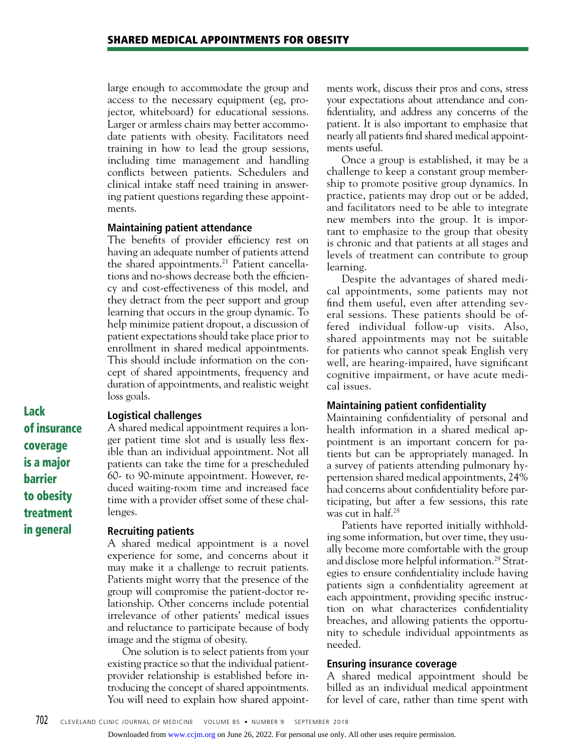large enough to accommodate the group and access to the necessary equipment (eg, projector, whiteboard) for educational sessions. Larger or armless chairs may better accommodate patients with obesity. Facilitators need training in how to lead the group sessions, including time management and handling conflicts between patients. Schedulers and clinical intake staff need training in answering patient questions regarding these appointments.

#### **Maintaining patient attendance**

The benefits of provider efficiency rest on having an adequate number of patients attend the shared appointments.<sup>21</sup> Patient cancellations and no-shows decrease both the efficiency and cost-effectiveness of this model, and they detract from the peer support and group learning that occurs in the group dynamic. To help minimize patient dropout, a discussion of patient expectations should take place prior to enrollment in shared medical appointments. This should include information on the concept of shared appointments, frequency and duration of appointments, and realistic weight loss goals.

Lack of insurance coverage is a major barrier to obesity treatment in general

## **Logistical challenges**

A shared medical appointment requires a longer patient time slot and is usually less flexible than an individual appointment. Not all patients can take the time for a prescheduled 60- to 90-minute appointment. However, reduced waiting-room time and increased face time with a provider offset some of these challenges.

#### **Recruiting patients**

A shared medical appointment is a novel experience for some, and concerns about it may make it a challenge to recruit patients. Patients might worry that the presence of the group will compromise the patient-doctor relationship. Other concerns include potential irrelevance of other patients' medical issues and reluctance to participate because of body image and the stigma of obesity.

One solution is to select patients from your existing practice so that the individual patientprovider relationship is established before introducing the concept of shared appointments. You will need to explain how shared appointments work, discuss their pros and cons, stress your expectations about attendance and confidentiality, and address any concerns of the patient. It is also important to emphasize that nearly all patients find shared medical appointments useful.

Once a group is established, it may be a challenge to keep a constant group membership to promote positive group dynamics. In practice, patients may drop out or be added, and facilitators need to be able to integrate new members into the group. It is important to emphasize to the group that obesity is chronic and that patients at all stages and levels of treatment can contribute to group learning.

Despite the advantages of shared medical appointments, some patients may not find them useful, even after attending several sessions. These patients should be offered individual follow-up visits. Also, shared appointments may not be suitable for patients who cannot speak English very well, are hearing-impaired, have significant cognitive impairment, or have acute medical issues.

#### **Maintaining patient confidentiality**

Maintaining confidentiality of personal and health information in a shared medical appointment is an important concern for patients but can be appropriately managed. In a survey of patients attending pulmonary hypertension shared medical appointments, 24% had concerns about confidentiality before participating, but after a few sessions, this rate was cut in half.28

Patients have reported initially withholding some information, but over time, they usually become more comfortable with the group and disclose more helpful information.<sup>29</sup> Strategies to ensure confidentiality include having patients sign a confidentiality agreement at each appointment, providing specific instruction on what characterizes confidentiality breaches, and allowing patients the opportunity to schedule individual appointments as needed.

#### **Ensuring insurance coverage**

A shared medical appointment should be billed as an individual medical appointment for level of care, rather than time spent with

Downloaded from [www.ccjm.org](http://www.ccjm.org/) on June 26, 2022. For personal use only. All other uses require permission.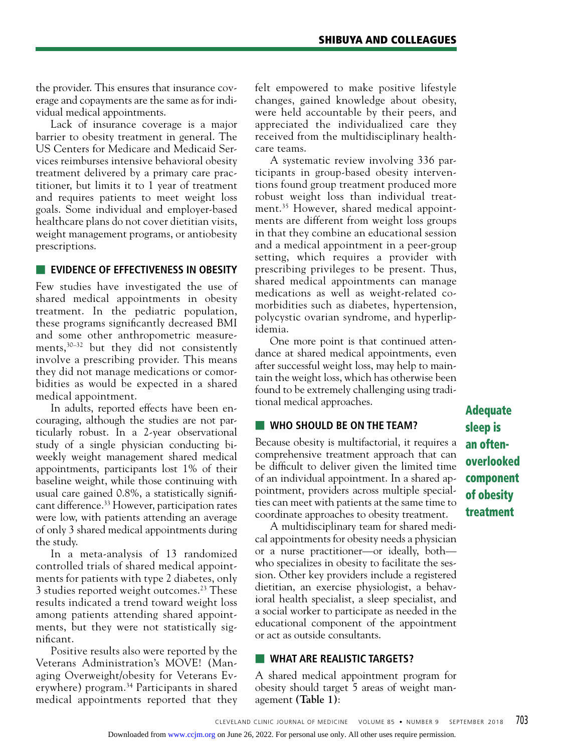the provider. This ensures that insurance coverage and copayments are the same as for individual medical appointments.

Lack of insurance coverage is a major barrier to obesity treatment in general. The US Centers for Medicare and Medicaid Services reimburses intensive behavioral obesity treatment delivered by a primary care practitioner, but limits it to 1 year of treatment and requires patients to meet weight loss goals. Some individual and employer-based healthcare plans do not cover dietitian visits, weight management programs, or antiobesity prescriptions.

## **EVIDENCE OF EFFECTIVENESS IN OBESITY**

Few studies have investigated the use of shared medical appointments in obesity treatment. In the pediatric population, these programs significantly decreased BMI and some other anthropometric measurements,30–32 but they did not consistently involve a prescribing provider. This means they did not manage medications or comorbidities as would be expected in a shared medical appointment.

In adults, reported effects have been encouraging, although the studies are not particularly robust. In a 2-year observational study of a single physician conducting biweekly weight management shared medical appointments, participants lost 1% of their baseline weight, while those continuing with usual care gained 0.8%, a statistically significant difference.<sup>33</sup> However, participation rates were low, with patients attending an average of only 3 shared medical appointments during the study.

In a meta-analysis of 13 randomized controlled trials of shared medical appointments for patients with type 2 diabetes, only 3 studies reported weight outcomes.<sup>23</sup> These results indicated a trend toward weight loss among patients attending shared appointments, but they were not statistically significant.

Positive results also were reported by the Veterans Administration's MOVE! (Managing Overweight/obesity for Veterans Everywhere) program.<sup>34</sup> Participants in shared medical appointments reported that they

felt empowered to make positive lifestyle changes, gained knowledge about obesity, were held accountable by their peers, and appreciated the individualized care they received from the multidisciplinary healthcare teams.

A systematic review involving 336 participants in group-based obesity interventions found group treatment produced more robust weight loss than individual treatment.35 However, shared medical appointments are different from weight loss groups in that they combine an educational session and a medical appointment in a peer-group setting, which requires a provider with prescribing privileges to be present. Thus, shared medical appointments can manage medications as well as weight-related comorbidities such as diabetes, hypertension, polycystic ovarian syndrome, and hyperlipidemia.

One more point is that continued attendance at shared medical appointments, even after successful weight loss, may help to maintain the weight loss, which has otherwise been found to be extremely challenging using traditional medical approaches.

## ■ **WHO SHOULD BE ON THE TEAM?**

Because obesity is multifactorial, it requires a comprehensive treatment approach that can be difficult to deliver given the limited time of an individual appointment. In a shared appointment, providers across multiple specialties can meet with patients at the same time to coordinate approaches to obesity treatment.

A multidisciplinary team for shared medical appointments for obesity needs a physician or a nurse practitioner—or ideally, both who specializes in obesity to facilitate the session. Other key providers include a registered dietitian, an exercise physiologist, a behavioral health specialist, a sleep specialist, and a social worker to participate as needed in the educational component of the appointment or act as outside consultants.

## ■ **WHAT ARE REALISTIC TARGETS?**

A shared medical appointment program for obesity should target 5 areas of weight management **(Table 1)**:

Adequate sleep is an oftenoverlooked component of obesity treatment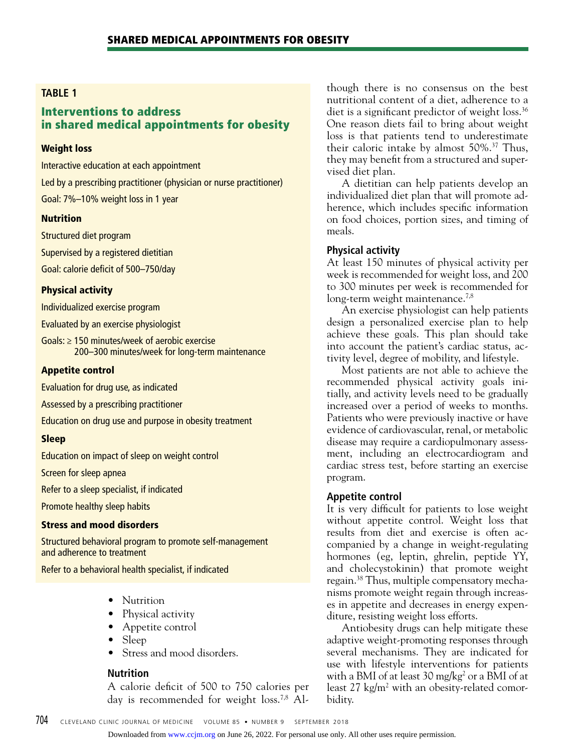## **TABLE 1**

# Interventions to address in shared medical appointments for obesity

#### Weight loss

Interactive education at each appointment Led by a prescribing practitioner (physician or nurse practitioner) Goal: 7%–10% weight loss in 1 year

#### Nutrition

Structured diet program

Supervised by a registered dietitian

Goal: calorie deficit of 500–750/day

#### Physical activity

Individualized exercise program

Evaluated by an exercise physiologist

Goals: ≥ 150 minutes/week of aerobic exercise 200–300 minutes/week for long-term maintenance

### Appetite control

Evaluation for drug use, as indicated

Assessed by a prescribing practitioner

Education on drug use and purpose in obesity treatment

#### Sleep

Education on impact of sleep on weight control

Screen for sleep apnea

Refer to a sleep specialist, if indicated

Promote healthy sleep habits

#### Stress and mood disorders

Structured behavioral program to promote self-management and adherence to treatment

Refer to a behavioral health specialist, if indicated

- Nutrition
- Physical activity
- Appetite control
- Sleep
- Stress and mood disorders.

## **Nutrition**

A calorie deficit of 500 to 750 calories per day is recommended for weight loss.7,8 Although there is no consensus on the best nutritional content of a diet, adherence to a diet is a significant predictor of weight loss.<sup>36</sup> One reason diets fail to bring about weight loss is that patients tend to underestimate their caloric intake by almost 50%.37 Thus, they may benefit from a structured and supervised diet plan.

A dietitian can help patients develop an individualized diet plan that will promote adherence, which includes specific information on food choices, portion sizes, and timing of meals.

## **Physical activity**

At least 150 minutes of physical activity per week is recommended for weight loss, and 200 to 300 minutes per week is recommended for long-term weight maintenance.<sup>7,8</sup>

An exercise physiologist can help patients design a personalized exercise plan to help achieve these goals. This plan should take into account the patient's cardiac status, activity level, degree of mobility, and lifestyle.

Most patients are not able to achieve the recommended physical activity goals initially, and activity levels need to be gradually increased over a period of weeks to months. Patients who were previously inactive or have evidence of cardiovascular, renal, or metabolic disease may require a cardiopulmonary assessment, including an electrocardiogram and cardiac stress test, before starting an exercise program.

## **Appetite control**

It is very difficult for patients to lose weight without appetite control. Weight loss that results from diet and exercise is often accompanied by a change in weight-regulating hormones (eg, leptin, ghrelin, peptide YY, and cholecystokinin) that promote weight regain.38 Thus, multiple compensatory mechanisms promote weight regain through increases in appetite and decreases in energy expenditure, resisting weight loss efforts.

Antiobesity drugs can help mitigate these adaptive weight-promoting responses through several mechanisms. They are indicated for use with lifestyle interventions for patients with a BMI of at least 30 mg/ $kg<sup>2</sup>$  or a BMI of at least 27 kg/m<sup>2</sup> with an obesity-related comorbidity.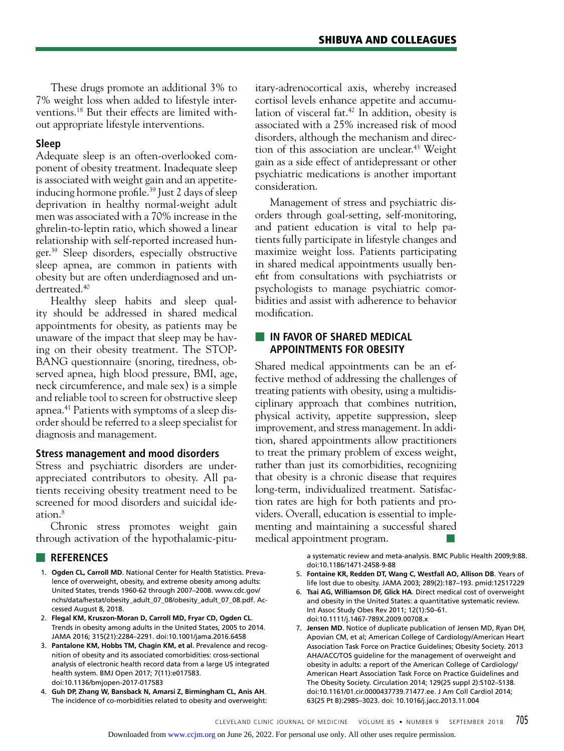These drugs promote an additional 3% to 7% weight loss when added to lifestyle interventions.18 But their effects are limited without appropriate lifestyle interventions.

## **Sleep**

Adequate sleep is an often-overlooked component of obesity treatment. Inadequate sleep is associated with weight gain and an appetiteinducing hormone profile.<sup>39</sup> Just 2 days of sleep deprivation in healthy normal-weight adult men was associated with a 70% increase in the ghrelin-to-leptin ratio, which showed a linear relationship with self-reported increased hunger.39 Sleep disorders, especially obstructive sleep apnea, are common in patients with obesity but are often underdiagnosed and undertreated.40

Healthy sleep habits and sleep quality should be addressed in shared medical appointments for obesity, as patients may be unaware of the impact that sleep may be having on their obesity treatment. The STOP-BANG questionnaire (snoring, tiredness, observed apnea, high blood pressure, BMI, age, neck circumference, and male sex) is a simple and reliable tool to screen for obstructive sleep apnea.41 Patients with symptoms of a sleep disorder should be referred to a sleep specialist for diagnosis and management.

## **Stress management and mood disorders**

Stress and psychiatric disorders are underappreciated contributors to obesity. All patients receiving obesity treatment need to be screened for mood disorders and suicidal ideation.8

Chronic stress promotes weight gain through activation of the hypothalamic-pitu-

## ■ **REFERENCES**

- 1. **Ogden CL, Carroll MD**. National Center for Health Statistics. Prevalence of overweight, obesity, and extreme obesity among adults: United States, trends 1960-62 through 2007–2008. www.cdc.gov/ nchs/data/hestat/obesity\_adult\_07\_08/obesity\_adult\_07\_08.pdf. Accessed August 8, 2018.
- 2. **Flegal KM, Kruszon-Moran D, Carroll MD, Fryar CD, Ogden CL**. Trends in obesity among adults in the United States, 2005 to 2014. JAMA 2016; 315(21):2284–2291. doi:10.1001/jama.2016.6458
- 3. **Pantalone KM, Hobbs TM, Chagin KM, et al**. Prevalence and recognition of obesity and its associated comorbidities: cross-sectional analysis of electronic health record data from a large US integrated health system. BMJ Open 2017; 7(11):e017583. doi:10.1136/bmjopen-2017-017583
- 4. **Guh DP, Zhang W, Bansback N, Amarsi Z, Birmingham CL, Anis AH**. The incidence of co-morbidities related to obesity and overweight:

itary-adrenocortical axis, whereby increased cortisol levels enhance appetite and accumulation of visceral fat.<sup>42</sup> In addition, obesity is associated with a 25% increased risk of mood disorders, although the mechanism and direction of this association are unclear.<sup>43</sup> Weight gain as a side effect of antidepressant or other psychiatric medications is another important consideration.

Management of stress and psychiatric disorders through goal-setting, self-monitoring, and patient education is vital to help patients fully participate in lifestyle changes and maximize weight loss. Patients participating in shared medical appointments usually benefit from consultations with psychiatrists or psychologists to manage psychiatric comorbidities and assist with adherence to behavior modification.

## ■ **IN FAVOR OF SHARED MEDICAL APPOINTMENTS FOR OBESITY**

Shared medical appointments can be an effective method of addressing the challenges of treating patients with obesity, using a multidisciplinary approach that combines nutrition, physical activity, appetite suppression, sleep improvement, and stress management. In addition, shared appointments allow practitioners to treat the primary problem of excess weight, rather than just its comorbidities, recognizing that obesity is a chronic disease that requires long-term, individualized treatment. Satisfaction rates are high for both patients and providers. Overall, education is essential to implementing and maintaining a successful shared medical appointment program.

> a systematic review and meta-analysis. BMC Public Health 2009;9:88. doi:10.1186/1471-2458-9-88

- 5. **Fontaine KR, Redden DT, Wang C, Westfall AO, Allison DB**. Years of life lost due to obesity. JAMA 2003; 289(2):187–193. pmid:12517229
- 6. **Tsai AG, Williamson DF, Glick HA**. Direct medical cost of overweight and obesity in the United States: a quantitative systematic review. Int Assoc Study Obes Rev 2011; 12(1):50–61. doi:10.1111/j.1467-789X.2009.00708.x
- 7. **Jensen MD**. Notice of duplicate publication of Jensen MD, Ryan DH, Apovian CM, et al; American College of Cardiology/American Heart Association Task Force on Practice Guidelines; Obesity Society. 2013 AHA/ACC/TOS guideline for the management of overweight and obesity in adults: a report of the American College of Cardiology/ American Heart Association Task Force on Practice Guidelines and The Obesity Society. Circulation 2014; 129(25 suppl 2):S102–S138. doi:10.1161/01.cir.0000437739.71477.ee. J Am Coll Cardiol 2014; 63(25 Pt B):2985–3023. doi: 10.1016/j.jacc.2013.11.004